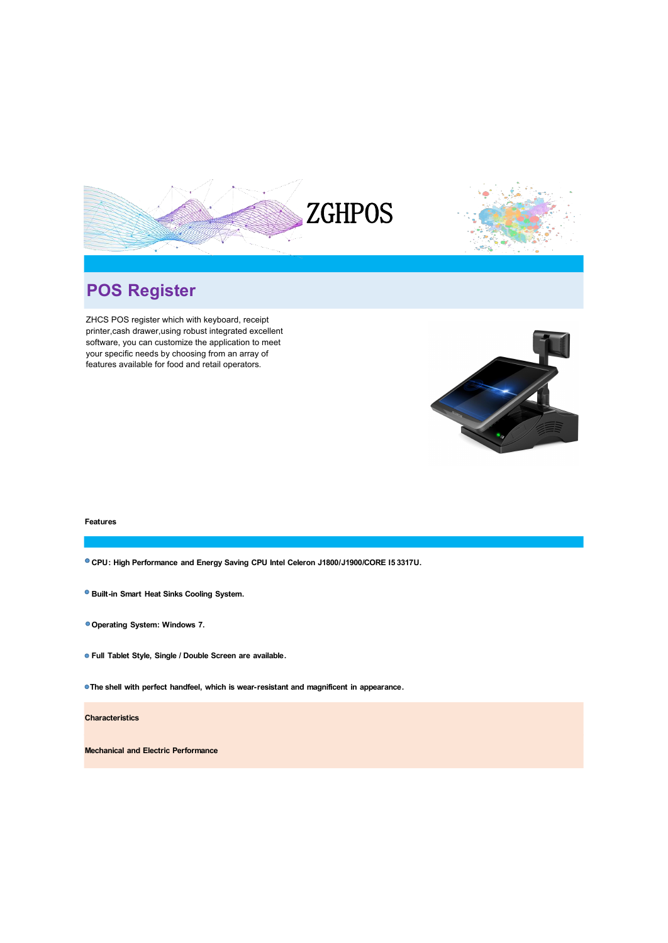

## **POS Register**

ZHCS POS register which with keyboard, receipt printer,cash drawer,using robust integrated excellent software, you can customize the application to meet your specific needs by choosing from an array of<br>features available for food and retail operators.



## **Features**

**CPU: High Performance and Energy Saving CPU Intel Celeron J1800/J1900/CORE I5 3317U.**

- **Built-in Smart Heat Sinks Cooling System.**
- **Operating System: Windows 7.**
- **Full Tablet Style, Single / Double Screen are available.**

**The shell with perfect handfeel, which is wear-resistant and magnificent in appearance.**

**Characteristics**

**Mechanical and Electric Performance**